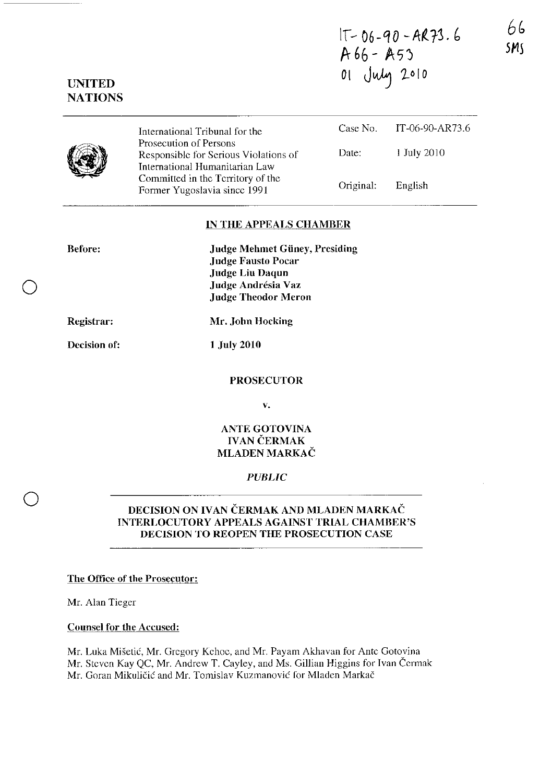If- *06-QO -M.r3.* b  $A 66 - A53$ 01 July 2010

 $\langle\langle\langle\mathbf{r}\rangle\rangle\rangle$  $\bigotimes_{\mathbb{Z}}$ 

International Tribunal for the Prosecution of Persons Responsible for Serious Violations of International Humanitarian Law Committed in thc Territory of the Former Yugoslavia since 1991 Case No. IT-06-90-AR73.6 Date: 1 July 2010 Original: English

#### IN THE APPEALS CHAMBER

| <b>Before:</b> | <b>Judge Mehmet Güney, Presiding</b><br><b>Judge Fausto Pocar</b> |
|----------------|-------------------------------------------------------------------|
|                | <b>Judge Liu Daqun</b>                                            |
|                | Judge Andrésia Vaz                                                |
|                | <b>Judge Theodor Meron</b>                                        |
| Registrar:     | Mr. John Hocking                                                  |

Decision of:

o

o

1 July 2010

#### PROSECUTOR

v.

## ANTE GOTOVINA **IVAN ČERMAK** MLADEN MARKAČ

### *PUBLIC*

## DECISION ON IVAN ČERMAK AND MLADEN MARKAČ INTERLOCUTORY APPEALS AGAINST TRIAL CHAMBER'S DECISION TO REOPEN THE PROSECUTION CASE

The Office of the Prosecutor:

Mr. Alan Tieger

Counsel for the Accused:

Mr. Luka Misetic, Mr. Gregory Kehoc, and Mr. Payam Akhavan for Antc Gotovina Mr. Steven Kay QC, Mr. Andrew T. Cayley, and Ms. Gillian Higgins for Ivan Cermak Mr. Goran Mikuličić and Mr. Tomislav Kuzmanović for Mladen Markač

## UNITED **NATIONS**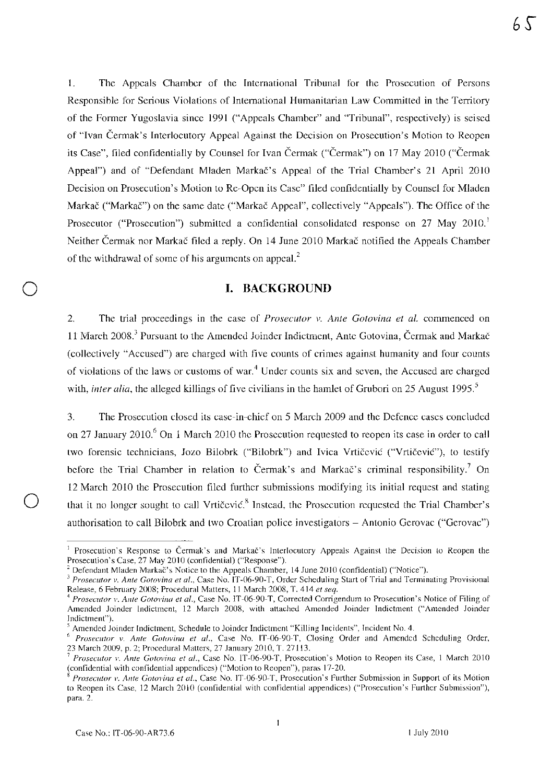I. The Appeals Chamber of the International Tribunal for the Prosecution of Persons Responsihle for Serious Violations of International Humanitarian Law Committed in the Territory of the Former Yugoslavia since 1991 ("Appeals Chamber" and "Tribunal", respectively) is seised of "Ivan Cennak's Interlocutory Appeal Against the Decision on Prosecution's Motion to Reopen its Case", filed confidentially by Counsel for Ivan Čermak ("Čermak") on 17 May 2010 ("Čermak") Appeal") and of "Defendant Mladen Markac's Appeal of the Trial Chamber's 21 April 2010 Decision on Prosecution's Motion to Re·Open its Case" filed confidentially by Counsel for Mladen Markač ("Markač") on the same date ("Markač Appeal", collectively "Appeals"). The Office of the Prosecutor ("Prosecution") submitted a confidential consolidated response on 27 May 2010.<sup>1</sup> Neither Cennak nor Markac filed a reply. On 14 June 2010 Markac notified the Appeals Chamber of the withdrawal of some of his arguments on appeal.'

## I. BACKGROUND

2. The trial proceedings in the case of *Prosecutor v. Anle Gotovina et al.* commenced on 11 March 2008.<sup>3</sup> Pursuant to the Amended Joinder Indictment, Ante Gotovina, Čermak and Markač (collectively "Accused") are charged with five counts of crimes against humanity and four counts of violations of the laws or customs of war.<sup>4</sup> Under counts six and seven, the Accused are charged with, *inter alia*, the alleged killings of five civilians in the hamlet of Grubori on 25 August 1995.<sup>5</sup>

3. The Prosecution closed its casc·in·chief on 5 March 2009 and the Defence cases concluded on 27 January 2010.<sup>6</sup> On 1 March 2010 the Prosecution requested to reopen its case in order to call two forensic technicians, Jozo Bilobrk ("Bilobrk") and Ivica Vrtičević ("Vrtičević"), to testify before the Trial Chamber in relation to Čermak's and Markač's criminal responsibility.<sup>7</sup> On 12 March 2010 the Prosecution filed further submissions modifying its initial request and stating that it no longer sought to call Vrtičević.<sup>8</sup> Instead, the Prosecution requested the Trial Chamber's authorisation to call Bilobrk and two Croatian police investigators - Antonio Gerovac ("Gerovac")

<sup>&</sup>lt;sup>1</sup> Prosecution's Response to Čermak's and Markač's Interlocutory Appeals Against the Decision to Reopen the Prosecution's Case, 27 May 2010 (confidential) ("Response").

<sup>&</sup>lt;sup>2</sup> Defendant Mladen Markač's Notice to the Appeals Chamber, 14 June 2010 (confidential) ("Notice").

<sup>&</sup>lt;sup>3</sup> Prosecutor v. Ante Gotovina et al., Case No. IT-06-90-T, Order Scheduling Start of Trial and Terminating Provisional Release, 6 February 2008; Procedural Matters, 11 March 2008, T. 414 el *seq.* 

*<sup>4</sup> Prosecutor* 1'. *Ante Gotovina et al.,* Case No. IT-06-90-T, Corrected Corrigendum to Prosecution's Notice of Filing of Amended Joinder Indictment, 12 March 2008, with attached Amended Joinder Indictment ("Amended Joinder Indictment").

<sup>5</sup> Amended Joinder Indictment, Schedule to Joinder Indictment "Killing Incidents", Incident No. 4.

<sup>&</sup>lt;sup>6</sup> Prosecutor v. Ante Gotovina et al., Case No. IT-06-90-T, Closing Order and Amended Scheduling Order, 23 March 2009, p. 2; Procedural Matters, 27 January 2010, T. 27113.

<sup>7</sup>*Proseclltor* 1'. *Ante Cotovina et al.,* Case No. IT-06-90-T, Prosecution's Motion to Reopen its Case, 1 March 2010 (confidential with confidential appendices) ("Motion to Reopen"), paras 17-20.

Prosecutor v. Ante Gotovina et al., Case No. 1T-06-90-T, Prosecution's Further Submission in Support of its Motion to Reopen its Case, 12 March 2010 (confidential with confidential appendices) ("Prosecution's Further Submission"), para. 2.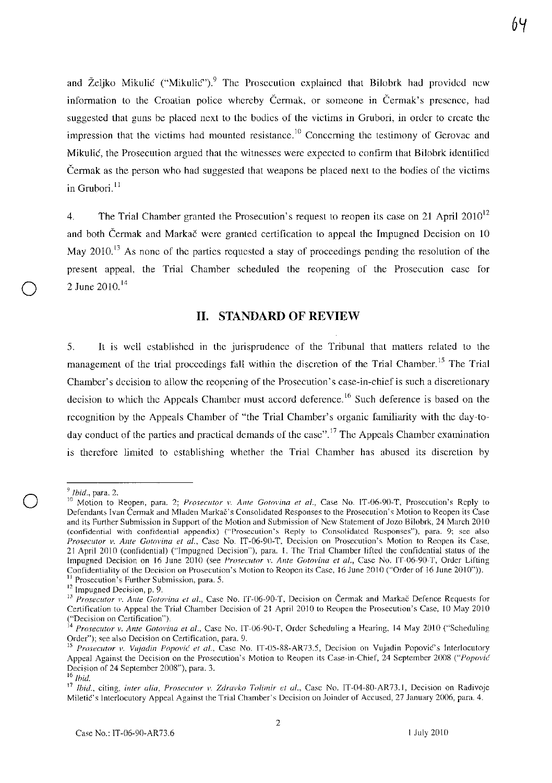and Željko Mikulić ("Mikulić").<sup>9</sup> The Prosecution explained that Bilobrk had provided new information to the Croatian police whereby Čermak, or someone in Čermak's presence, had suggested that guns be placed next to the bodies of the victims in Grubori, in order to crcate thc impression that the victims had mounted resistance.<sup>10</sup> Concerning the testimony of Gerovac and Mikulić, the Prosecution argued that the witnesses were expected to confirm that Bilobrk identified Cennak as the person who had suggested that weapons be placed next to the hodies of the victims in Grubori<sup>11</sup>

4. The Trial Chamber granted the Prosecution's request to reopen its case on 21 April  $2010^{12}$ and both Čermak and Markač were granted certification to appeal the Impugned Decision on 10 May 2010.<sup>13</sup> As none of the parties requested a stay of proceedings pending the resolution of the present appeal, the Trial Chamber scheduled the reopening of thc Prosecution case for 2 June  $2010^{14}$ 

## 11. STANDARD OF REVIEW

5. It is well established in the jurisprudence of the Tribunal that mallers related to the management of the trial proceedings fall within the discretion of the Trial Chamber.<sup>15</sup> The Trial Chamber's decision to allow the reopening of the Prosecution's case-in-chief is such a discretionary decision to which the Appeals Chamber must accord deference.<sup>16</sup> Such deference is based on the recognition by the Appeals Chamber of "the Trial Chamber's organic familiarity with the day-today conduct of the parties and practical demands of the case".<sup>17</sup> The Appeals Chamber examination is therefore limited to establishing whether the Trial Chamber has abused its discretion by

*<sup>9</sup>*Ibid., para. 2.

<sup>&</sup>lt;sup>10</sup> Motion to Reopen, para. 2; *Prosecutor v. Ante Gotovina et al.*, Case No. IT-06-90-T, Prosecution's Reply to Defendants Ivan Cermak and Mladen Markac's Consolidated Responses to the Prosecution's Motion to Reopen its Case and its Further Submission in Support of the Motion and Submission of New Statement of Jozo Bilobrk, 24 March 2010 (confidential with confidential appendix) ("Prosecution's Reply to Consolidated Responses"), para. 9; see also *Prosecutor v. Ante Cotovina et al.,* Case No. IT-06-90-T, Decision on Prosecution's Motion to Reopen its Case, 21 April 2010 (confidential) ("Impugned Decision"), para. I. The Trial Chamber lifted the confidential status of the Impugned Decision on 16 June 2010 (see *Prosecutor v. Ante Gotovina et al.*, Case No. IT-06-90-T, Order Lifting Confidentiality of the Decision on Prosecution's Motion to Reopen its Case, 16 June 2010 ("Order of 16 June 2010"».

<sup>&</sup>lt;sup>11</sup> Prosecution's Further Submission, para. 5.

 $12$  Impugned Decision, p. 9.

<sup>&</sup>lt;sup>13</sup> Prosecutor v. Ante Gotovina et al., Case No. IT-06-90-T, Decision on Čermak and Markač Defence Requests for Certification to Appeal the Trial Chamber Decision of 21 April 2010 to Reopen the Prosecution's Case, 10 May 2010 ("Decision on Certification").

<sup>&</sup>lt;sup>14</sup> Prosecutor v. Ante Gotovina et al., Case No. IT-06-90-T, Order Scheduling a Hearing, 14 May 2010 ("Scheduling Order"); see also Decision on Certification, para. 9.

<sup>&</sup>lt;sup>15</sup> Prosecutor v. Vujadin Popović et al., Case No. IT-05-88-AR73.5, Decision on Vujadin Popović's Interlocutory Appeal Against the Decision on the Prosecution's Motion to Reopen its Case-in-Chief, 24 September 2008 *("Popo)'ic*  Decision of 24 September 2008"), para. 3.

<sup>16</sup> *lhid.* 

<sup>&</sup>lt;sup>17</sup> Ibid., citing, *inter alia, Prosecutor v. Zdravko Tolimir et al.*, Case No. IT-04-80-AR73.1, Decision on Radivoje Miletic's Interlocutory Appeal Against the Trial Chamber's Decision on Joinder of Accused, 27 January 2006, para. 4.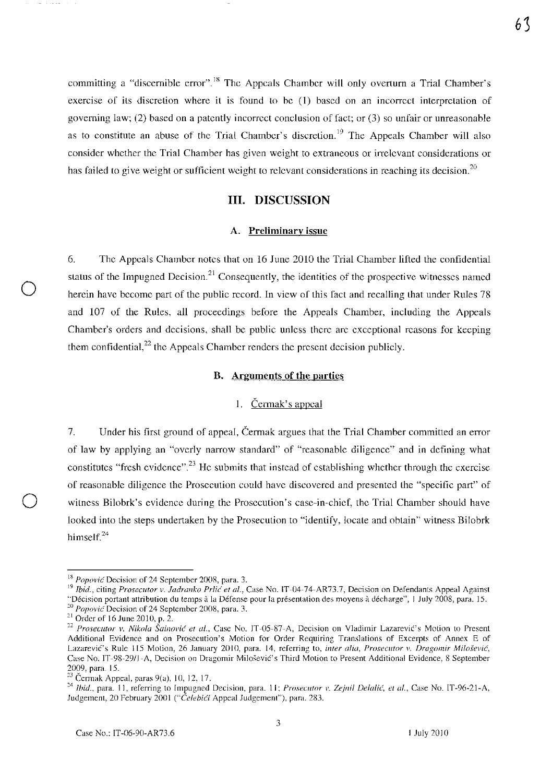committing a "discernible error".<sup>18</sup> The Appeals Chamber will only overturn a Trial Chamber's exercise of its discretion where it is found to he (I) based on an incorrcct interpretation of governing law; (2) based on a patently incorrect conclusion of fact; or (3) so unfair or unreasonable as to constitute an abuse of the Trial Chamber's discretion.<sup>19</sup> The Appeals Chamber will also considcr whether the Trial Chamber has given weight to extraneous or irrelevant considerations or has failed to give weight or sufficient weight to relevant considerations in reaching its decision.<sup>20</sup>

## III. DISCUSSION

#### A. Preliminary issue

6. The Appcals Chamber notes that on 16 June 2010 the Trial Chamber lifted the confidential status of the Impugned Decision.<sup>21</sup> Consequently, the identities of the prospective witnesses named herein have become part of the public rceord. In vicw of this fact and recalling that under Rules 78 and 107 of the Rules, all proceedings before the Appeals Chamber, including the Appeals Chamber's orders and decisions, shall be public unless there are exceptional reasons for keeping them confidential, $^{22}$  the Appeals Chamber renders the present decision publicly.

## B. Arguments of the parties

#### I. Cermak's appeal

7. Under his first ground of appeal, Cerrnak argues that the Trial Chamber committed an error of law by applying an "overly narrow standard" of "reasonable diligence" and in defining what constitutes "fresh evidence".<sup>23</sup> He submits that instead of establishing whether through the exercise of reasonable diligence the Prosecution could have discovercd and presentcd the "specific part" of witness Bilobrk's evidence during the Prosecution's case-in-chief, the Trial Chamber should have looked into the steps undertaken hy the Prosecution to "identify, locate and obtain" witness Bilobrk himself. $^{24}$ 

o

63

 $18$  *Popović* Decision of 24 September 2008, para. 3.

<sup>19</sup>*Ibid.,* citing *Prosecutor v. Jadrallko* Prlic *et al.,* Case No. IT-04-74-AR73.7, Decision on Defendants Appeal Against "Decision partant attribution du temps a la Defense pour la presentation des moyens a decharge", 1 July 2008, para, IS.

<sup>&</sup>lt;sup>20</sup> Popovic<sup>t</sup> Decision of 24 September 2008, para. 3.

 $21$  Order of 16 June 2010, p. 2.

<sup>&</sup>lt;sup>22</sup> Prosecutor v. Nikola Šainović et al., Case No. JT-05-87-A, Decision on Vladimir Lazarević's Motion to Present Additional Evidence and on Prosecution's Motion for Order Requiring Translations of Excerpts of Annex E of Lazarević's Rule 115 Motion, 26 January 2010, para. 14, referring to, *inter alia, Prosecutor v. Dragomir Milošević*, Case No. IT -98-29/J -A, Decision on Dragomir MiloseviC's Third Motion to Present Additional Evidence, 8 September 2009, para. 15.

 $23$  Čermak Appeal, paras 9(a), 10, 12, 17.

<sup>&</sup>lt;sup>24</sup> Ibid., para. 11, referring to Impugned Decision, para. 11; *Prosecutor v. Zejnil Delalić, et al.*, Case No. IT-96-21-A, Judgement, 20 February 2001 ("Čelebići Appeal Judgement"), para. 283.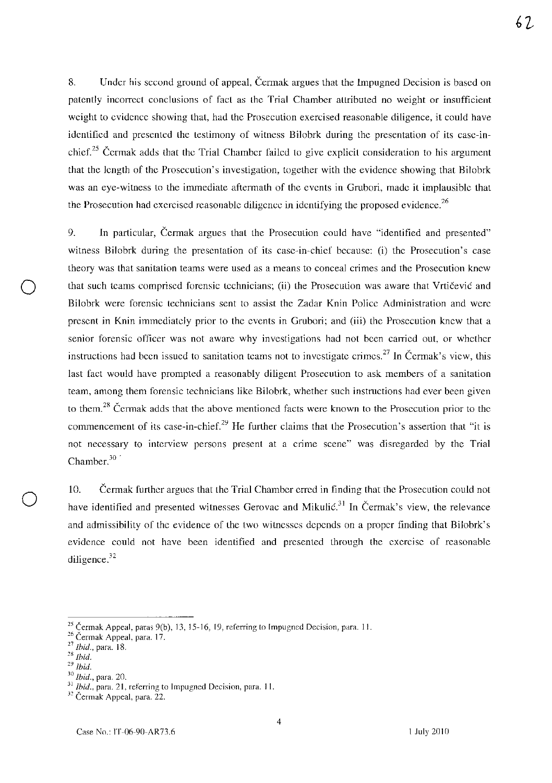8. Under his second ground of appeal, Čermak argues that the Impugned Decision is based on patently incorrect conclusions of fact as the Trial Chamber attributed no weight or insufficient weight to evidence showing that, had the Prosccution exercised reasonable diligence, it could have identified and presented the testimony of witness Bilobrk during the presentation of its case-inchief.<sup>25</sup> Čermak adds that the Trial Chamber failed to give explicit consideration to his argument that the length of the Prosecution's investigation, together with the evidence showing that Bilobrk was an eye-witness to the immediate aftermath of the events in Grubori, made it implausible that

the Prosecution had exercised reasonable diligence in identifying the proposed evidence.<sup>26</sup> 9. In particular, Cermak argues that the Prosecution could have "identified and presented" witness Bilobrk during the presentation of its case-in-chief because: (i) the Prosecution's case theory was that sanitation teams were used as a means to conceal crimes and the Prosecution knew that such teams comprised forensic technicians; (ii) the Prosecution was aware that Vrtičević and Bilobrk were forensic technicians sent to assist the Zadar Knin Police Administration and were present in Knin immediately prior to the events in Grubori; and (iii) the Prosecution knew that a senior forensic officer was not aware why investigations had not been carried out, or whether instructions had been issued to sanitation teams not to investigate crimes.<sup>27</sup> In Čermak's view, this last fact would have prompted a reasonably diligent Prosecution to ask members of a sanitation team, among them forensic technicians like Bilobrk, whether such instructions had ever been given to them.<sup>28</sup> Čermak adds that the above mentioned facts were known to the Prosecution prior to the

commencement of its case-in-chief.<sup>29</sup> He further claims that the Prosecution's assertion that "it is not necessary to interview persons present at a crime scene" was disregarded by the Trial Chamber.<sup>30</sup>

10. Cermak further argues that the Trial Chamber erred in finding that the Prosecution could not have identified and presented witnesses Gerovac and Mikulic.<sup>31</sup> In Čermak's view, the relevance and admissibility of the evidence of the two witnesses depends on a proper finding that Bilobrk's evidence could not have been identified and presented through the exercise of reasonable diligence.<sup>32</sup>

o

62

<sup>&</sup>lt;sup>25</sup> Čermak Appeal, paras 9(b), 13, 15-16, 19, referring to Impugned Decision, para. 11.

<sup>&</sup>lt;sup>26</sup> Čermak Appeal, para. 17.

<sup>27</sup>*Ihid.,* para. 18.

*<sup>28</sup> ihid.* 

*<sup>29</sup> Ibid.* 

*<sup>30</sup> Ihid.,* para. 20.

<sup>31</sup>*Ibid.,* para. 21, referring to Impugned Decision, para. 11.

<sup>&</sup>lt;sup>32</sup> Čermak Appeal, para. 22.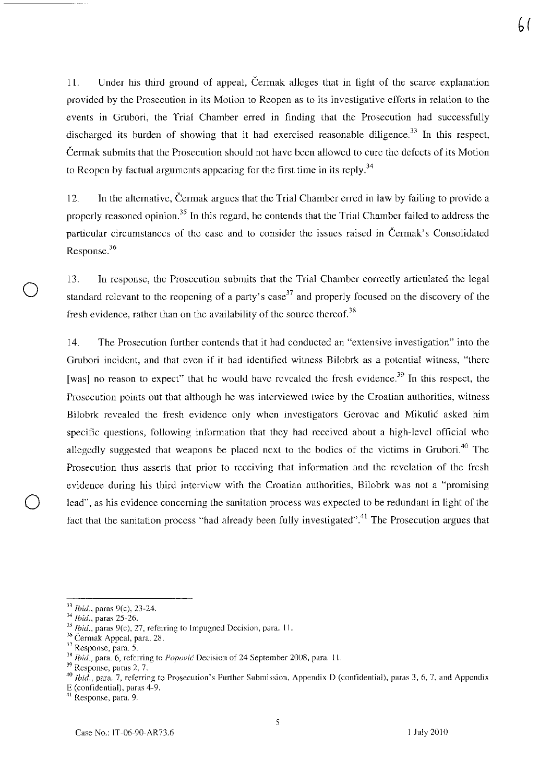11. Under his third ground of appeal, Cermak alleges that in light of the scarce explanation provided by the Prosecution in its Motion to Reopen as to its investigative efforts in relation to the events in Grnbori, the Trial Chamber erred in finding that the Prosecution had successfully discharged its burden of showing that it had exercised reasonable diligence.<sup>33</sup> In this respect, Cermak submits that the Prosecution should not have been allowed to cure the defects of its Motion to Reopen by factual arguments appearing for the first time in its reply.<sup>34</sup>

12. In the alternative, Cermak argues that the Trial Chamber erred in law by failing to provide a properly reasoned opinion.<sup>35</sup> In this regard, he contends that the Trial Chamber failed to address the particular circumstances of the case and to consider the issues raised in Cermak's Consolidated Response.<sup>36</sup>

13. In response, the Prosecution submits that the Trial Chamber correctly articulated the legal standard relevant to the reopening of a party's case<sup>37</sup> and properly focused on the discovery of the fresh evidence, rather than on the availability of the source thereof.<sup>38</sup>

14. The Prosecution further contends that it had conducted an "extensive investigation" into the Grubori incident, and that even if it had identified witness Bilobrk as a potential witness, "there [was] no reason to expect" that he would have revealed the fresh evidence.<sup>39</sup> In this respect, the Prosecution points out that although he was interviewed twice by the Croatian authorities, witness Bilobrk revealed the fresh evidence only when investigators Gerovae and Mikulic asked him specific questions, following information that they had received about a high-level official who allegedly suggested that weapons be placed next to the bodies of the victims in Grubori.<sup>40</sup> The Prosecution thus asserts that prior to receiving that information and the revelation of the fresh evidence during his third interview with the Croatian authorities, Bilobrk was not a "promising lead", as his evidence concerning the sanitation process was expected to be redundant in light of the fact that the sanitation process "had already been fully investigated".<sup>41</sup> The Prosecution argues that

o

E (confidential). paras 4-9.

b(

*<sup>33</sup> Ihid.,* paras 9(c), 23-24.

*<sup>34</sup> Ibid.,* paras 25-26.

<sup>&</sup>lt;sup>35</sup> Ibid., paras 9(c), 27, referring to Impugned Decision, para. 11.

<sup>&</sup>lt;sup>36</sup> Čermak Appeal, para. 28.

<sup>37</sup> Response, para. S.

<sup>&</sup>lt;sup>38</sup> *Ibid.*, para. 6, referring to *Popović* Decision of 24 September 2008, para. 11.

<sup>39</sup> Response, paras 2, 7.

*<sup>40</sup>*Ibid., para. 7, referring to Prosecution's Further Submission, Appendix D (confidential), paras 3, 6, 7, and Appendix

<sup>&</sup>lt;sup>41</sup> Response, para. 9.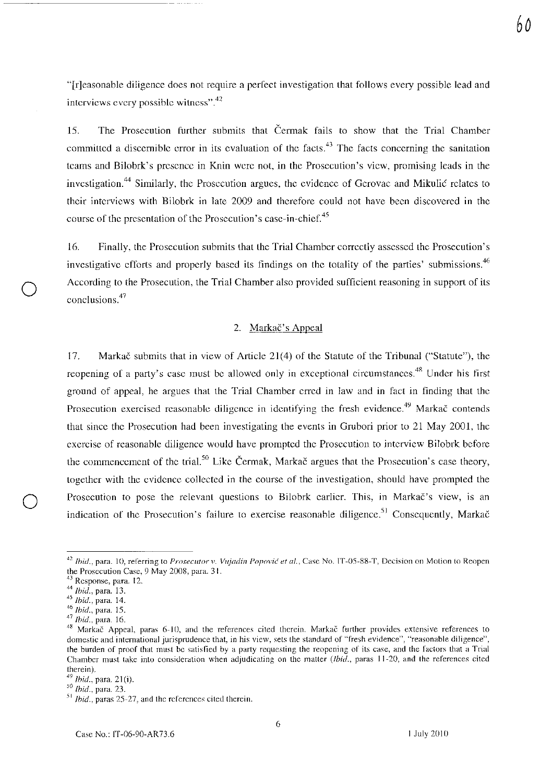*60* 

"[r]easonable diligence does not require a perfect investigation that follows every possible lead and interviews every possible witness". $42$ 

15. The Prosecution further submits that Cermak fails to show that the Trial Chamber committed a discernible error in its evaluation of the facts.<sup>43</sup> The facts concerning the sanitation teams and Bilobrk's presence in Knin were not, in the Prosecution's view, promising leads in the investigation.<sup>44</sup> Similarly, the Prosecution argues, the evidence of Gerovae and Mikulic relates to their interviews with Bilobrk in late 2009 and therefore could not have been discovered in the course of the presentation of the Prosecution's case-in-chief.<sup>45</sup>

16. Finally, the Prosecution submits that the Trial Chamber correctly assessed the Prosecution's investigative efforts and properly based its findings on the totality of the parties' submissions.<sup>46</sup> According to the Prosecution, the Trial Chamber also provided sufficient reasoning in support of its conclusions.<sup>47</sup>

### 2. Markač's Appeal

17. Markac submits that in view of Article 21(4) of the Statute of the Tribunal ("Statute"), the reopening of a party's case must be allowed only in exceptional circumstances.<sup>48</sup> Under his first ground of appeal, he argues that the Trial Chamber erred in law and in fact in tinding that the Prosecution exercised reasonable diligence in identifying the fresh evidence.<sup>49</sup> Markač contends that since the Prosecution had been investigating the events in Grubori prior to 21 May 2001, the exercise of reasonable diligence would have prompted the Prosecution to interview Bilobrk before the commencement of the trial.<sup>50</sup> Like Čermak, Markač argues that the Prosecution's case theory, together with the evidence collected in the course of the investigation, should have prompted the Prosecution to pose the relevant questions to Bilobrk earlier. This, in Markač's view, is an indication of the Prosecution's failure to exercise reasonable diligence.<sup>51</sup> Consequently, Markač

o

<sup>&</sup>lt;sup>42</sup> Ibid., para. 10, referring to *Prosecutor v. Vujadin Popović et al.*, Case No. IT-05-88-T, Decision on Motion to Reopen the Prosecution Case, 9 May 2008, para. 31.

<sup>&</sup>lt;sup>43</sup> Response, para. 12.

<sup>44</sup>*Ihid.,* para. 13.

*<sup>45</sup> Ihid.,* para. 14.

<sup>46</sup>*Ibid.,* para. *15.* 

<sup>47</sup>*Ibid.,* para. 16.

<sup>&</sup>lt;sup>48</sup> Markač Appeal, paras 6-10, and the references cited therein. Markač further provides extensive references to domestic and international jurisprudence that, in his view, sets the standard of "fresh evidence", "reasonable diligence", the burden of proof that must be satisried by a party requesting the reopening of its case, and the factors that a Trial Chamber must take into consideration when adjudicating on the matter *(lhid.,* paras 11-20, and the references cited therein).

*<sup>49</sup> lhid.,* para. 21 (i).

*<sup>50</sup> Ibid.,* para. 23.

<sup>51</sup>*Ibid.,* paras 25-27, and the references cited therein.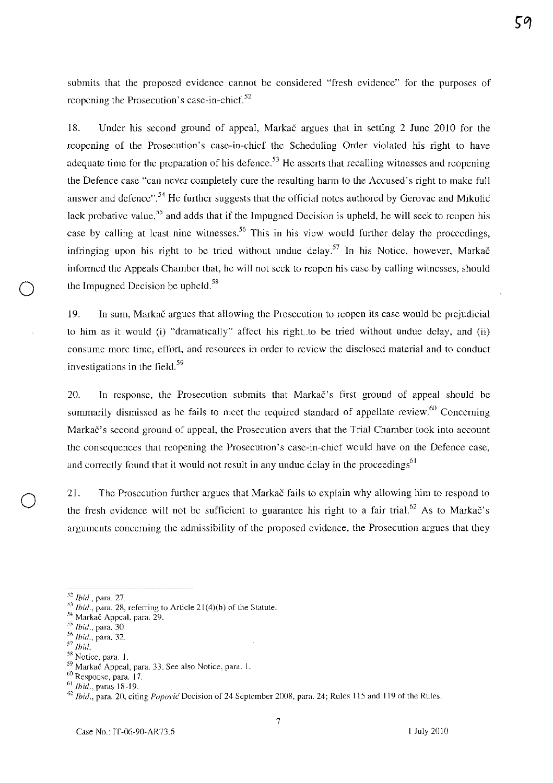submits that the proposed evidence cannot be considered "fresh evidence" for the purposes of reopening the Prosecution's case-in-chief. $52$ 

18. Under his second ground of appeal, Markac argues that in setting 2 June 2010 for the reopening of the Prosecution's case-in-chief the Scheduling Order violated his right to have adequate time for the preparation of his defence.<sup>53</sup> He asserts that recalling witnesses and reopening the Defence case "can never completely cure the resulting harm to the Accused's right to make full answer and defence".<sup>54</sup> He further suggests that the official notes authored by Gerovac and Mikulic lack probative value,<sup>55</sup> and adds that if the Impugned Decision is upheld, he will seek to reopen his case by calling at least nine witnesses.<sup>56</sup> This in his view would further delay the proceedings, infringing upon his right to be tried without undue delay.<sup>57</sup> In his Notice, however, Markac informed the Appeals Chamber that, he will not seek to rcopcn his case by calling witnesses, should the Impugned Decision be upheld. $58$ 

19. In sum, Markac argues that allowing the Prosecution to reopen its case would be prejudicial to him as it would (i) "dramatically" affect his right to be tried without undue delay, and (ii) consume more time, effort, and resources in order to review the disclosed material and to conduct investigations in the field.<sup>59</sup>

20. In rcsponse, the Prosecution submits that Markac's tirst ground of appeal should be summarily dismissed as he fails to meet the required standard of appellate review.<sup>60</sup> Concerning Markac's second ground of appeal, the Prosecution avers that the Trial Chamber took into account the consequcnces that rcopening the Prosecution's case-in-chief would have on the Defence case, and correctly found that it would not result in any undue delay in the proceedings<sup>61</sup>

21. The Prosecution further argues that Markač fails to explain why allowing him to respond to the fresh evidence will not be sufficient to guarantee his right to a fair trial.<sup>62</sup> As to Marka $\check{c}$ 's arguments concerning the admissibility of the proposed evidence, the Prosecution argues that they

*<sup>52</sup> Ibid.,* para. 27.

*<sup>&#</sup>x27;1] ihid.,* para. 28, referring to Article 21 (4)(b) of the Statute.

<sup>54</sup> Markač Appeal, para. 29.

<sup>&</sup>lt;sup>55</sup> *Ibid.*, para. 30

 $56$ *Ibid.*, para. 32.

<sup>57</sup> *Ibid.* 

<sup>&</sup>lt;sup>58</sup> Notice, para. 1.

<sup>59</sup> Markac Appeal, para. 33. See also Notice, para. 1.

<sup>60</sup> Response, para. 17.

 $61$  Ibid., paras 18-19.

*<sup>62</sup> Ibid.,* para. 20, citing *Popol'i{* Decision of 24 September 200S, para. 24; Rules *115* and 119 of the Rules.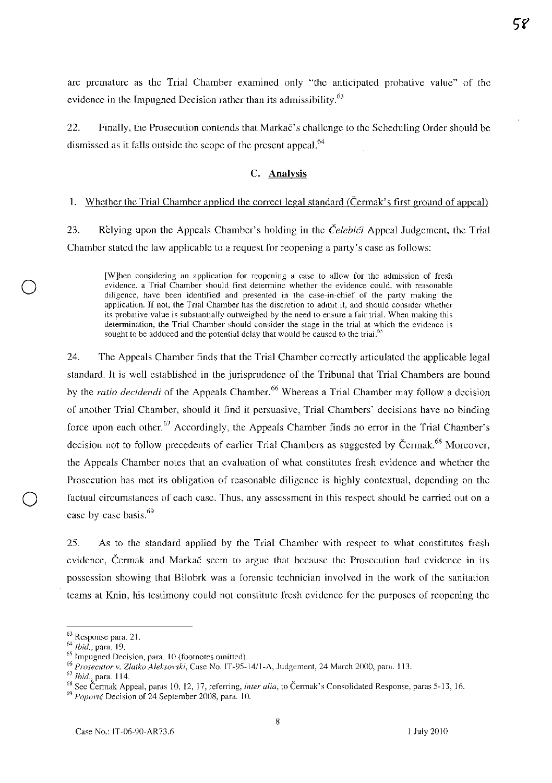arc premature as the Trial Chamber examined only "the anticipated probative value" of the evidence in the Impugned Decision rather than its admissibility.<sup>63</sup>

22. Finally, the Prosecution contends that Markač's challenge to the Scheduling Order should be dismissed as it falls outside the scope of the present appeal.<sup>64</sup>

## C. Analysis

#### I. Whether the Trial Chamber applied the correct legal standard (Cerrnak's first ground of appeal)

23. Relying upon the Appeals Chamber's holding in the *Čelebići* Appeal Judgement, the Trial Chamber stated the law applicable to a request for reopening a party's case as follows:

[W]hen considering an application for reopening a case to allow for the admission of fresh evidence, a Trial Chamber should first determine whether the evidence could, with reasonable diligence, have been identified and presented in the case-in-chief of the party making the application. If not, the Trial Chamber has the discretion to admit it, and should consider whether its probative value is substantially outweighed by the need to ensure a fair trial. When making this determination, the Trial Chamber should consider the stage in the trial at which the evidence is sought to be adduced and the potential delay that would be caused to the triai.<sup>55</sup>

24. The Appeals Chamher finds that the Trial Chamber correctly articulated the applicable legal standard. It is well established in the jurisprudence of the Tribunal that Trial Chambers are bound by the *ratio decidendi* of the Appeals Chamber.<sup>66</sup> Whereas a Trial Chamber may follow a decision of another Trial Cbamber, shonld it Gnd it persnasive, Trial Chambers' decisions have no hinding force upon each other.  $67$  Accordingly, the Appeals Chamber finds no error in the Trial Chamber's decision not to follow precedents of earlier Trial Chambers as suggested by Čermak.<sup>68</sup> Moreover, the Appeals Chamber notes that an evaluation of what constitutes fresh evidence and whether the Prosecution has met its obligation of reasonable diligence is highly contextual, depending on the factual circumstances of each case. Thus, any assessment in this respect should be carried out on a case-by-case basis. $69$ 

25. As to the standard applied by the Trial Chamber with respect to what constitutes fresh evidence, Cermak and Markac seem to argue that because the Prosecution had evidence in its possession showing that Bilobrk was a forensic technician involved in the work of the sanitation teams at Knin, his testimony could not constitute fresh evidence for the purposes of reopening the

<sup>63</sup> Response para. 21.

 $^{64}$  Ibid., para. 19.

<sup>65</sup> Impugned Decision, para. 10 (footnotes omitted).

<sup>&</sup>lt;sup>66</sup> Prosecutor v. Zlatko Aleksovski, Case No. IT-95-14/1-A, Judgement, 24 March 2000, para. 113.

*<sup>67</sup> Ihid.,* para. 114.

<sup>&</sup>lt;sup>68</sup> See Čermak Appeal, paras 10, 12, 17, referring, *inter alia*, to Čermak's Consolidated Response, paras 5-13, 16.

 $^{69}$  Popović Decision of 24 September 2008, para. 10.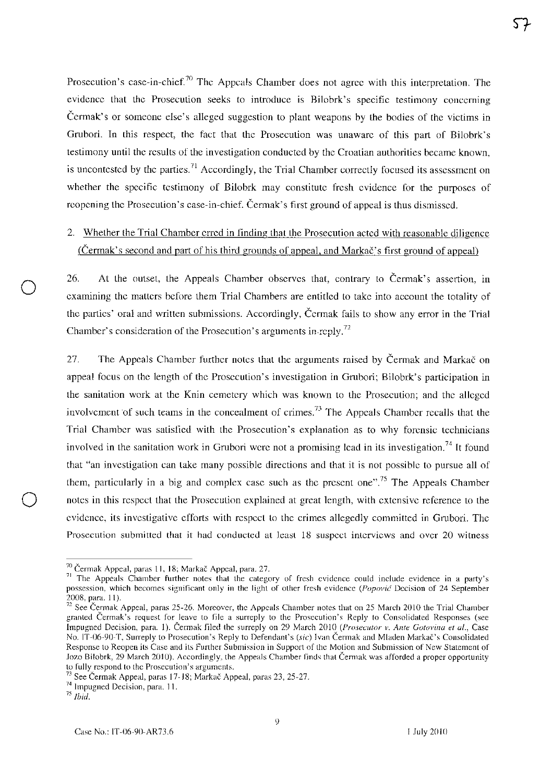Prosecution's case-in-chief.<sup>70</sup> The Appeals Chamber does not agree with this interpretation. The evidence that the Prosecution seeks to introduce is Bilobrk's specific testimony concerning Ccnnak's or someone else's alleged suggestion to plant weapons by the bodies of the victims in Grubori. In this respect, the fact that the Prosecution was unaware of this part of Bilobrk's testimony until the results of the investigation conducted by the Croatian authorities became known, is uncontested by the parties.<sup>71</sup> Accordingly, the Trial Chamber correctly focused its assessment on whether the specific testimony of Bilobrk may constitute fresh evidence for the purposes of reopening the Prosecution's case-in-chief. Čermak's first ground of appeal is thus dismissed.

# 2. Whether the Trial Chamber erred in finding that the Prosecution acted with reasonable diligence  $(Čermak's second and part of his third grounds of appeal, and Markač's first ground of appeal)$

26. At the outset, the Appeals Chamber observes that, contrary to Čermak's assertion, in examining thc mattcrs bcfore them Trial Chambers are entitled to take into account the totality of the partics' oral and written submissions. Accordingly, Cennak fails to show any error in the Trial Chamber's consideration of the Prosecution's arguments in-reply.<sup>72</sup>

27. The Appeals Chamber further notes that the arguments raised by Čermak and Markac on appeal focus on the length of the Prosecution's investigation in Grubori; Bilobrk's participation in the sanitation work at the Knin cemetery which was known to the Prosecution; and the alleged involvement of such teams in the concealment of crimes.<sup>73</sup> The Appeals Chamber recalls that the Trial Chamber was satislied with the Prosecution's explanation as to why forcnsic tcchnicians involved in the sanitation work in Grubori were not a promising lead in its investigation.<sup>74</sup> It found that "an invcstigation can takc many possible directions and that it is not possible to pursue all of them, particularly in a big and complex case such as the present one".<sup>75</sup> The Appeals Chamber notes in this respect that the Prosecution explained at great length, with extensive reference to the evidence, its investigative efforts with respect to the crimes allegedly committed in Grubori. The **Prosecution submitted that it had conducted at least 18 suspect interviews and over 20 witness** 

<sup>70</sup> **Cermak Appeal, paras 1 J, 18; Markac Appeal, para. 27.** 

<sup>&</sup>lt;sup>71</sup> The Appeals Chamber further notes that the category of fresh evidence could include evidence in a party's **possession, which becomes significant only in the light of other fresh evidence (Popović Decision of 24 September** 2008, para. 11).

<sup>&</sup>lt;sup>72</sup> See Cermak Appeal, paras 25-26. Moreover, the Appeals Chamber notes that on 25 March 2010 the Trial Chamber **granted Cermak's request for leave to file a surreply to the Prosecution's Reply to Consolidated Responses (see Impugned Decision, para. 1). Čermak filed the surreply on 29 March 2010 (Prosecutor v. Ante Gotovina et al., Case No. IT-06-90-T, Surreply to Prosecution's Reply to Defendant's (sic) Ivan Cermak and Mladen MarkaC's Consolidated Response to Reopen its Case and its Further Submission in Support of the Motion and Submission of New Statement of Jozo Bilobrk, 29 March 2010). Accordingly, the Appeals Chamber finds that Cermak was afforded a proper opportunity to fully respond to the Prosecution's arguments.** 

<sup>&</sup>lt;sup>73</sup> See Čermak Appeal, paras 17-18; Markač Appeal, paras 23, 25-27.

**<sup>74</sup> Impugned Decision, para. 11.** 

*<sup>75</sup> Ibid.*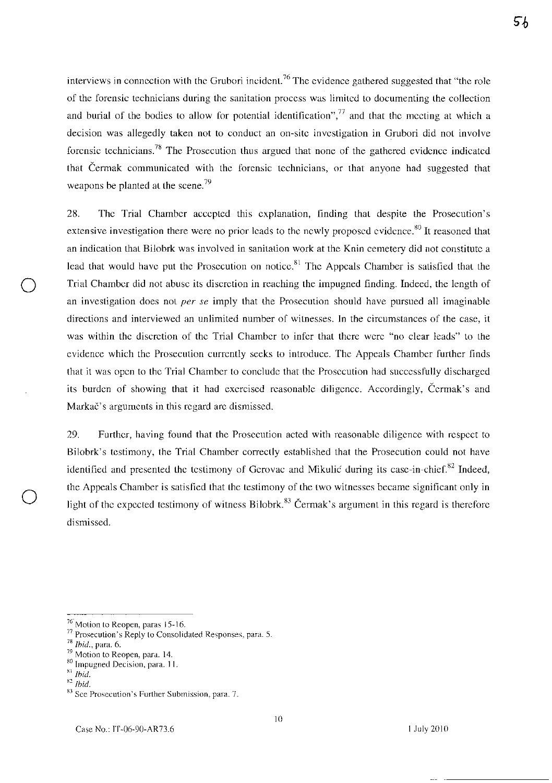5հ

interviews in connection with the Grubori incident.<sup>76</sup> The evidence gathered suggested that "the role" of the forensic technicians during the sanitation process was limited to documenting the collection and burial of the bodies to allow for potential identification", $77$  and that the meeting at which a decision was allegedly taken not to conduct an on-site investigation in Grubori did not involve forensic technicians.<sup>78</sup> The Prosecution thus argued that none of the gathered evidence indicated that Cermak communicated with the forensic technicians, or that anyone had suggested that weapons be planted at the scene.<sup>79</sup>

28. The Trial Chamber accepted this explanation, finding that despite the Prosecution's extensive investigation there were no prior leads to the newly proposed evidence.<sup>80</sup> It reasoned that an indication that Bilobrk was involved in sanitation work at the Knin cemetery did not constitute a lead that would have put the Prosecution on notice.<sup>81</sup> The Appeals Chamber is satisfied that the Trial Chamber did not abuse its discretion in reaching the impugned finding. Indeed, the length of an investigation does not *per se* imply that the Prosecution should have pursued all imaginable directions and interviewed an unlimited number of witnesses. In the circumstances of the case, it was within the discretion of the Trial Chamber to infer that there were "no clear leads" to the evidence which the Prosecution currently seeks to introduce. The Appeals Chamber further finds that it was open to the Trial Chamber to conclude that the Prosecution had successfully discharged its burden of showing that it had exercised reasonable diligence. Accordingly, Cermak's and Markač's arguments in this regard are dismissed.

29. Further, having found that the Prosecution acted with reasonable diligence with respect to Bilobrk's testimony, the Trial Chamber correctly established that the Prosecution could not have identified and presented the testimony of Gerovac and Mikulic during its case-in-chief.<sup>82</sup> Indeed, the Appeals Chamber is satisfied that the testimony of the two witnesses became significant only in light of the expected testimony of witness Bilobrk.<sup>83</sup> Cermak's argument in this regard is therefore dismissed.

<sup>&</sup>lt;sup>76</sup> Motion to Reopen, paras 15-16.

<sup>77</sup>Prosecution's Reply to Consolidated Responses, para. S.

 $78$  *Ibid.*, para. 6.

<sup>79</sup> Motion to Reopen, para. 14.

<sup>80</sup> Impugned Decision, para. **11.** 

 $\stackrel{81}{\text{Bid}}$ .

<sup>~2</sup> *Ibid.* 

<sup>83</sup> Sce Prosecution's Further Submission, para. 7.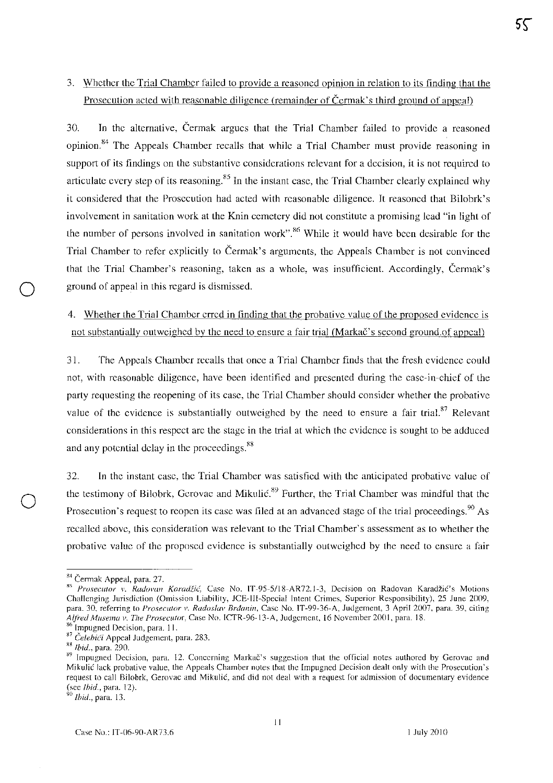# 3. Whether the Trial Chamber failed to provide a reasoned opinion in relation to its finding that the Prosecution acted with reasonable diligence (remainder of Cermak's third ground of appeal)

30. In the alternative, Cennak argues that the Trial Chamber failed to provide a reasoned opinion.<sup>84</sup> The Appeals Chamber recalls that while a Trial Chamber must provide reasoning in support of its findings on the substantive considerations relevant for a decision, it is not required to articulate every step of its reasoning.<sup>85</sup> In the instant case, the Trial Chamber clearly explained why it considered that the Prosecution had acted with reasonable diligence. Tt reasoned that Bilobrk's involvement in sanitation work at the Knin cemetery did not constitute a promising lead "in light of the number of persons involved in sanitation work".<sup>86</sup> While it would have been desirable for the Trial Chamber to refer explicitly to Čermak's arguments, the Appeals Chamber is not convinced that the Trial Chamber's reasoning, taken as a whole, was insufficient. Accordingly, Cermak's ground of appeal in this regard is dismissed.

4. Whether the Trial Chamber erred in finding that the probative value of the proposed evidence is not substantially outweighed by the need to ensure a fair trial (Markac's second ground of appeal)

31. The Appeals Chamber recalls that once a Trial Chamber finds that the fresh evidence could not, with reasonable diligence, have been identified and presented during the case-in-chief of the party requesting the reopening of its case, the Trial Chamber should consider whether the probative value of the evidence is substantially outweighed by the need to ensure a fair trial. $87$  Relevant considerations in this respect arc the stage in the trial at which the evidence is sought to be adduced and any potential delay in the proceedings.<sup>88</sup>

32. In the instant case, the Trial Chamber was satisfied with the anticipated probative value of the testimony of Bilobrk, Gerovac and Mikulić.<sup>89</sup> Further, the Trial Chamber was mindful that the Prosecution's request to reopen its case was filed at an advanced stage of the trial proceedings.<sup>90</sup> As recalled above, this consideration was relevant to the Trial Chamber's assessment as to whether the probative value of the proposed evidence is substantially outweighed by the need to ensure a fair

o

*90 Ihid.,* para. 13.

<sup>&</sup>lt;sup>84</sup> Čermak Appeal, para. 27.

<sup>&</sup>lt;sup>85</sup> Prosecutor v. Radovan Karadžić, Case No. IT-95-5/18-AR72.1-3, Decision on Radovan Karadžić's Motions Challenging Jurisdiction (Omission Liability, JCE-III-Special Intent Crimes, Superior Responsibility), 25 June 2009, para. 30, referring to *Prosecutor v. Radoslav Brdanin*, Case No. IT-99-36-A, Judgement, 3 April 2007, para. 39, citing *Alfred MlIsema v. The Prosecutor,* Case No. ICTR-96-13-A, Judgement, 16 November 2001, para. 18.

<sup>&</sup>lt;sup>86</sup> Impugned Decision, para. 11. <sup>87</sup> Čelebići Appeal Judgement, para. 283.

<sup>~8</sup> *Ihid.,* para. 290.

<sup>89</sup> Impugned Decision, para. 12. Concerning Markač's suggestion that the official notes authored by Gerovac and Mikulic lack probative value, the Appeals Chamber notes that the Impugned Decision dealt only with the Prosecution's request to call Bilobrk, Gerovac and Mikulic, and did not deal with a request for admission of documentary evidence (see *Ibid.*, para. 12).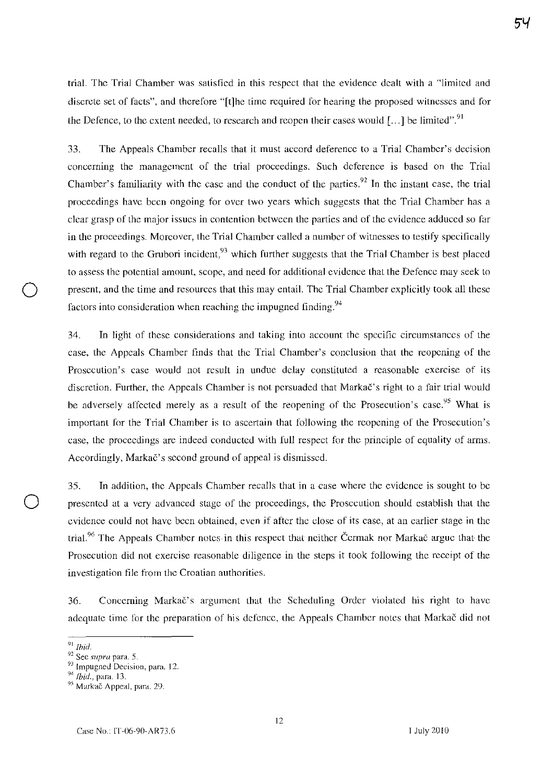trial. The Trial Chamber was satisfied in this respect that the evidence dealt with a "limited and discrete set of facts", and therefore "[t]he time required for hearing the proposed witnesses and for the Defence, to the extent needed, to research and reopen their cases would  $[...]$  be limited".<sup>91</sup>

33. The Appeals Chamber recalls that it must accord deference to a Trial Chamber's decision concerning the management of the trial proceedings. Such deference is based on the Trial Chamber's familiarity with the case and the conduct of the parties.<sup>92</sup> In the instant case, the trial proceedings have been ongoing for over two years which suggests that the Trial Chamber has a clear grasp of the major issues in contention between the parties and of the evidence adduced so far in the proceedings. Moreover, the Trial Chamber called a number of witnesses to testify specifically with regard to the Grubori incident,  $93$  which further suggests that the Trial Chamber is best placed to assess the potential amount, scope, and need for additional evidence that the Defence may seek to present, and the time and resources that this may entail. The Trial Chamber explicitly took all these factors into consideration when reaching the impugned finding.<sup>94</sup>

34. In light of these considerations and taking into account the specific circumstances of the case, the Appeals Chamber finds that the Trial Chamber's conclusion that the reopening of the Prosecution's case would not result in undue delay constituted a reasonable exercise of its discretion. Further, the Appeals Chamber is not persuaded that Markač's right to a fair trial would be adversely affected merely as a result of the reopening of the Prosecution's case.<sup>95</sup> What is important for the Trial Chamber is to ascertain that following the reopening of the Prosecution's case, the proceedings are indeed conducted with full respect for the principle of equality of arms. Accordingly, Markač's second ground of appeal is dismissed.

35. In addition, the Appeals Chamber recalls that in a case where the evidence is sought to be o presented at a very advanced stage of the proceedings, the Prosecution should establish that the evidence could not have been obtained, even if after the close of its case, at an earlier stage in the trial.<sup>96</sup> The Appeals Chamber notes in this respect that neither Cermak nor Marka $\check{\text{c}}$  argue that the Prosecution did not exercise reasonable diligence in the steps it took following the receipt of the investigation tile from the Croatian authorities.

36. Concerning Markac's argument that the Scheduling Order violated his right to have adequate time for the preparation of his defence, the Appeals Chamber notes that Markac did not

<sup>91</sup>*Ibid.* 

<sup>92</sup> Sec *supra* para. 5.

<sup>&</sup>lt;sup>93</sup> Impugned Decision, para. 12.

<sup>&</sup>lt;sup>94</sup> *Ibid.*, para. 13.

<sup>95</sup> Markač Appeal, para. 29.